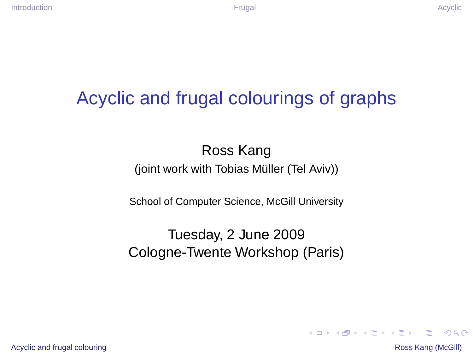## Acyclic and frugal colourings of graphs

#### Ross Kang (joint work with Tobias Müller (Tel Aviv))

School of Computer Science, McGill University

#### Tuesday, 2 June 2009 Cologne-Twente Workshop (Paris)

[Acyclic and frugal colouring](#page-25-0) **Ross Kang (McGill)** Acyclic and frugal colouring Ross Kang (McGill)

<span id="page-0-0"></span> $\equiv$   $\Omega$ 

4 ロ > 4 何 > 4 ヨ > 4 ヨ > 1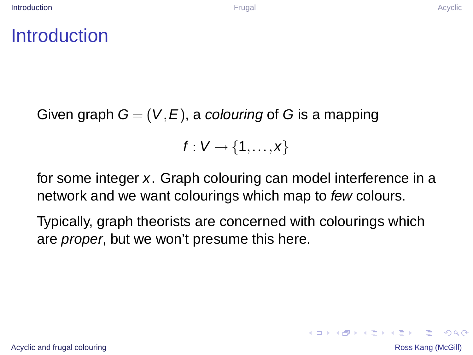#### **Introduction**

Given graph  $G = (V, E)$ , a colouring of G is a mapping

<span id="page-1-0"></span> $f: V \rightarrow \{1,\ldots,x\}$ 

for some integer x. Graph colouring can model interference in a network and we want colourings which map to few colours.

Typically, graph theorists are concerned with colourings which are *proper*, but we won't presume this here.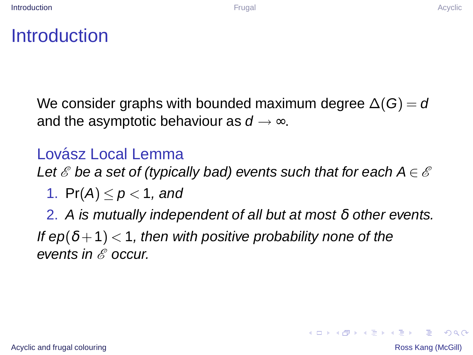#### **Introduction**

We consider graphs with bounded maximum degree  $\Delta(G) = d$ and the asymptotic behaviour as  $d \rightarrow \infty$ .

#### Lovász Local Lemma

Let  $\mathscr E$  be a set of (typically bad) events such that for each  $A \in \mathscr E$ 

1. Pr(A)  $\leq p < 1$ , and

2. A is mutually independent of all but at most  $\delta$  other events. If  $ep(\delta +1)$  < 1, then with positive probability none of the events in  $\mathscr E$  occur.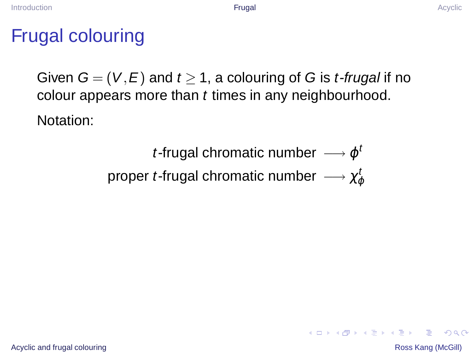#### Frugal colouring

Given  $G = (V, E)$  and  $t > 1$ , a colouring of G is *t-frugal* if no colour appears more than t times in any neighbourhood. Notation:

> *t*-frugal chromatic number  $\longrightarrow \varphi^t$ proper *t-*frugal chromatic number  $\longrightarrow \chi_\phi^t$

<span id="page-3-0"></span>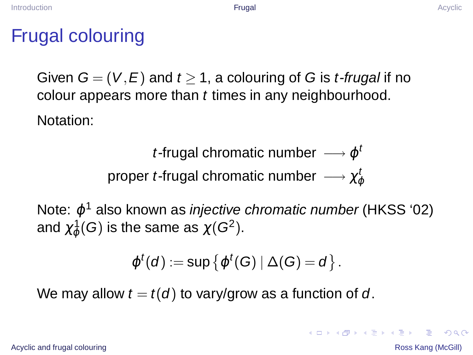#### Frugal colouring

Given  $G = (V, E)$  and  $t > 1$ , a colouring of G is *t-frugal* if no colour appears more than t times in any neighbourhood. Notation:

> *t*-frugal chromatic number  $\longrightarrow \varphi^t$ proper *t-*frugal chromatic number  $\longrightarrow \chi_\phi^t$

Note:  $\varphi^1$  also known as *injective chromatic number* (HKSS '02) and  $\chi^1_\phi(\overline{G})$  is the same as  $\chi(G^2).$ 

$$
\varphi^t(d):=\sup\left\{\varphi^t(G)\ |\ \Delta(G)=d\right\}.
$$

We may allow  $t = t(d)$  to vary/grow as a function of d.

[Acyclic and frugal colouring](#page-0-0) **Ross Kang (McGill)** Acyclic and frugal colouring Ross Kang (McGill)

**KOD KAD KED KED E VOOR**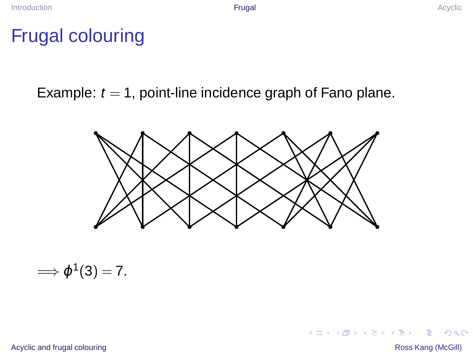#### Frugal colouring

Example:  $t = 1$ , point-line incidence graph of Fano plane.



$$
\Longrightarrow \varphi^1(3)=7.
$$

[Acyclic and frugal colouring](#page-0-0) **Ross Kang (McGill)** Ross Kang (McGill)

 $2990$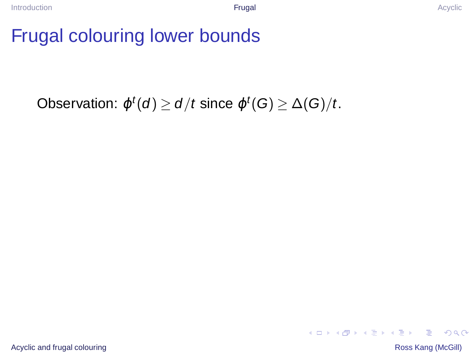## Frugal colouring lower bounds

# Observation:  $\varphi^t(d) \ge d/t$  since  $\varphi^t(G) \ge \Delta(G)/t$ .

イロトメ 御 トメ 君 トメ 君 トー  $\equiv$   $\Omega Q$ 

[Acyclic and frugal colouring](#page-0-0) **Ross Kang (McGill)** Ross Kang (McGill)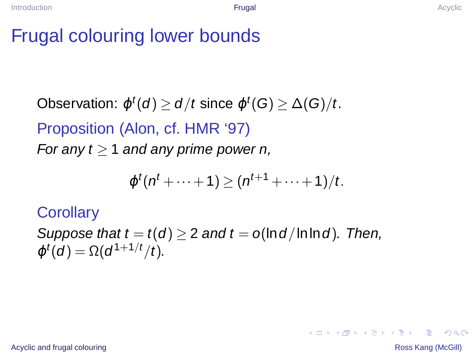#### Frugal colouring lower bounds

Observation:  $\varphi^t(d) \ge d/t$  since  $\varphi^t(G) \ge \Delta(G)/t$ . Proposition (Alon, cf. HMR '97) For any  $t \geq 1$  and any prime power n,

$$
\varphi^t(n^t+\cdots+1)\geq (n^{t+1}+\cdots+1)/t.
$$

**Corollary** 

Suppose that  $t = t(d) \geq 2$  and  $t = o(\ln d / \ln \ln d)$ . Then,  $\varphi^{t}(d) = \Omega(d^{1+1/t}/t).$ 

[Acyclic and frugal colouring](#page-0-0) **Ross Kang (McGill)** Acyclic and frugal colouring Ross Kang (McGill)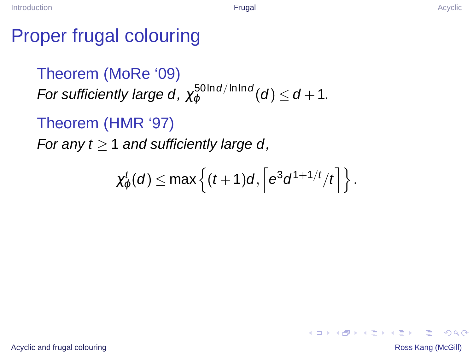#### Proper frugal colouring

Theorem (MoRe '09) For sufficiently large d,  $\chi^{50\ln d/\ln\ln d}_{\varphi}(d) \leq d+1$ .

Theorem (HMR '97)

For any  $t > 1$  and sufficiently large d,

$$
\chi^t_\varphi(d) \leq \max\left\{ (t+1)d, \left\lceil e^3 d^{1+1/t}/t \right\rceil \right\}.
$$

[Acyclic and frugal colouring](#page-0-0) **Ross Kang (McGill) Ross Kang (McGill**)

∍

 $2Q$ 

4 ロ > 4 何 > 4 ヨ > 4 ヨ > 1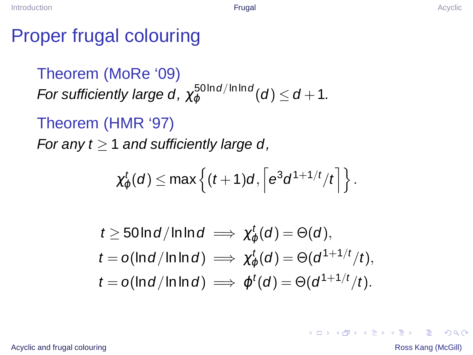#### Proper frugal colouring

Theorem (MoRe '09) For sufficiently large d,  $\chi^{50\ln d/\ln\ln d}_{\varphi}(d) \leq d+1$ .

Theorem (HMR '97)

For any  $t > 1$  and sufficiently large d,

$$
\chi^t_\varphi(d) \leq \max\left\{ (t+1)d, \left\lceil e^3 d^{1+1/t}/t \right\rceil \right\}.
$$

$$
t \ge 50 \ln d / \ln \ln d \implies \chi_{\varphi}^t(d) = \Theta(d),
$$
  
\n
$$
t = o(\ln d / \ln \ln d) \implies \chi_{\varphi}^t(d) = \Theta(d^{1+1/t}/t),
$$
  
\n
$$
t = o(\ln d / \ln \ln d) \implies \varphi^t(d) = \Theta(d^{1+1/t}/t).
$$

[Acyclic and frugal colouring](#page-0-0) **Ross Kang (McGill) Ross Kang (McGill**)

∍

 $2Q$ 

4 ロ > 4 何 > 4 ヨ > 4 ヨ > 1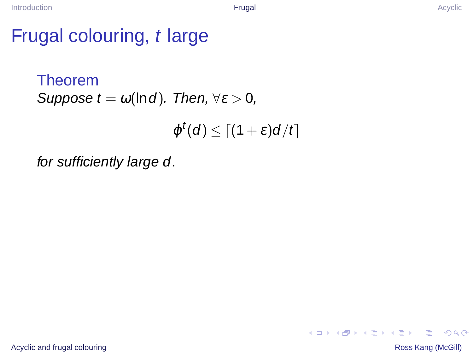#### Frugal colouring, t large

```
Theorem
Suppose t = \omega(\ln d). Then, \forall \varepsilon > 0,
```

```
\varphi^t(d) \leq \lceil (1+\varepsilon)d/t \rceil
```
for sufficiently large d.

 $2Q$ 

 $\mathbf{A} \equiv \mathbf{B} + \mathbf{A} \mathbf{B} + \mathbf{A} \mathbf{B} + \mathbf{A} \mathbf{B} + \mathbf{A} \mathbf{B}$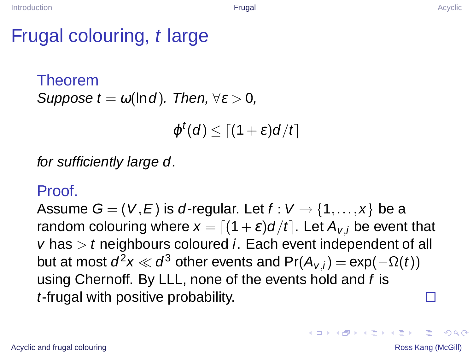#### Frugal colouring, t large

```
Theorem
Suppose t = \omega(\ln d). Then, \forall \varepsilon > 0.
```

```
\varphi^t(d) \leq \lceil (1+\varepsilon)d/t \rceil
```
for sufficiently large d.

#### Proof.

Assume  $G = (V, E)$  is d-regular. Let  $f: V \rightarrow \{1, ..., x\}$  be a random colouring where  $x = [(1+\varepsilon)d/t]$ . Let  $A_{v,i}$  be event that  $v$  has  $\geq t$  neighbours coloured *i*. Each event independent of all but at most  $d^2x \ll d^3$  other events and  $Pr(A_{v,i}) = exp(-\Omega(t))$ using Chernoff. By LLL, none of the events hold and f is t-frugal with positive probability. П

[Acyclic and frugal colouring](#page-0-0) **Ross Kang (McGill)** Acyclic and frugal colouring Ross Kang (McGill)

 $2Q$ 

 $\mathbf{E} = \mathbf{A} \oplus \mathbf{B} \mathbf{A} + \mathbf{B} \mathbf{B} + \mathbf{A} \oplus \mathbf{B} + \mathbf{A} \oplus \mathbf{A}$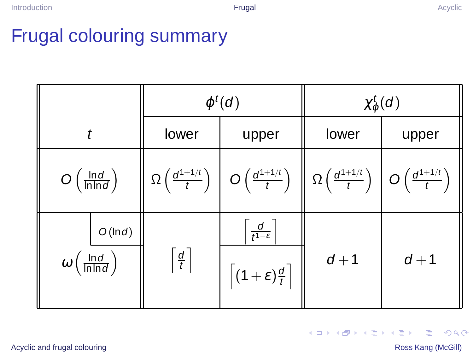## Frugal colouring summary



 $\equiv$ 

 $2990$ 

4 ロ > 4 何 > 4 ヨ > 4 ヨ > 1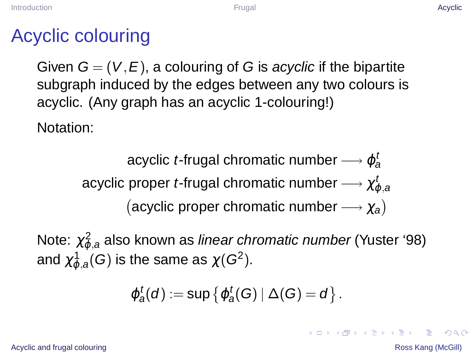#### Acyclic colouring

Given  $G = (V, E)$ , a colouring of G is acyclic if the bipartite subgraph induced by the edges between any two colours is acyclic. (Any graph has an acyclic 1-colouring!)

Notation:

acyclic *t-*frugal chromatic number —→  $\varphi^t_a$ acyclic proper *t-*frugal chromatic number — $\rightarrow \chi^t_{\varphi,a}$ (acyclic proper chromatic number  $\longrightarrow \chi_a$ )

Note:  $\chi_{\varphi,a}^2$  also known as *linear chromatic number* (Yuster '98) and  $\chi^1_{\varphi,a}(G)$  is the same as  $\chi(G^2).$ 

<span id="page-13-0"></span>
$$
\varphi^t_a(d):=\sup\left\{\varphi^t_a(G)\,|\,\Delta(G)=d\right\}.
$$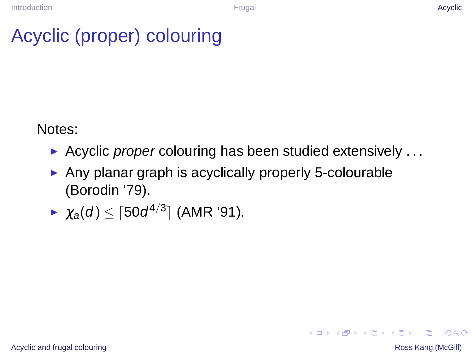# Acyclic (proper) colouring

Notes:

- Acyclic proper colouring has been studied extensively  $\dots$
- ► Any planar graph is acyclically properly 5-colourable (Borodin '79).

$$
\blacktriangleright \ \ \chi_a(d) \leq \lceil 50d^{4/3} \rceil \ \text{(AMR '91)}.
$$

 $2Q$ 

4 ロ > 4 何 > 4 ヨ > 4 ヨ > 1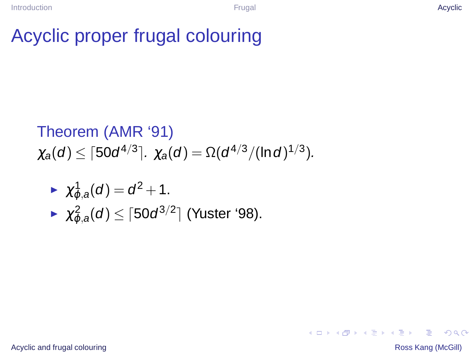Theorem (AMR '91)  
\n
$$
\chi_a(d) \leq \lceil 50d^{4/3} \rceil
$$
.  $\chi_a(d) = \Omega(d^{4/3}/(\ln d)^{1/3})$ .

$$
\begin{aligned}\n&\blacktriangleright \ \ \chi^1_{\varphi,a}(d) = d^2 + 1. \\
&\blacktriangleright \ \ \chi^2_{\varphi,a}(d) \leq \lceil 50d^{3/2} \rceil \ \text{(Yuster '98).}\n\end{aligned}
$$

[Acyclic and frugal colouring](#page-0-0) **Ross Kang (McGill) Ross Kang (McGill**)

 $\equiv$ 

 $-990$ 

メロトメ 御 トメ 君 トメ 君 トー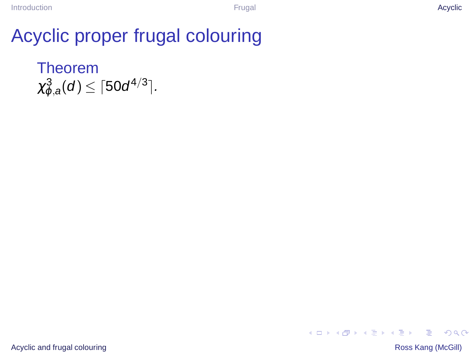#### Theorem  $\chi^3_{\varphi,a}(\textit{d}) \leq \lceil 50d^{4/3} \rceil$ .



[Acyclic and frugal colouring](#page-0-0) **Ross Kang (McGill) Ross Kang (McGill**)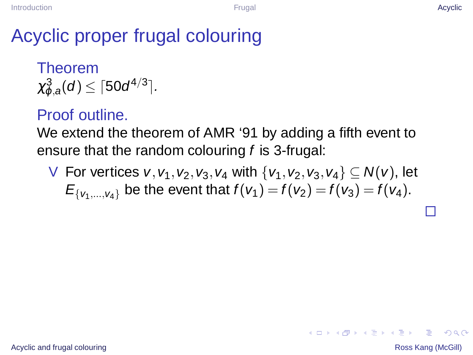Theorem  $\chi^3_{\varphi,a}(\textit{d}) \leq \lceil 50d^{4/3} \rceil$ .

#### Proof outline.

We extend the theorem of AMR '91 by adding a fifth event to ensure that the random colouring f is 3-frugal:

V For vertices v,  $v_1, v_2, v_3, v_4$  with  $\{v_1, v_2, v_3, v_4\} \subseteq N(v)$ , let  $E_{\{v_1,...,v_4\}}$  be the event that  $f(v_1) = f(v_2) = f(v_3) = f(v_4)$ .

 $QQ$ 

イロト (何) (日) (日) 三重

П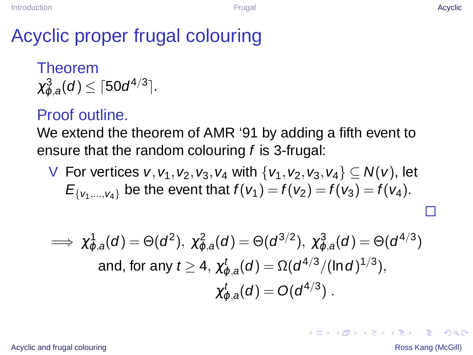Theorem  $\chi^3_{\varphi,a}(\textit{d}) \leq \lceil 50d^{4/3} \rceil$ .

#### Proof outline.

We extend the theorem of AMR '91 by adding a fifth event to ensure that the random colouring f is 3-frugal:

V For vertices v,  $v_1, v_2, v_3, v_4$  with  $\{v_1, v_2, v_3, v_4\} \subseteq N(v)$ , let  $E_{\{v_1,...,v_4\}}$  be the event that  $f(v_1) = f(v_2) = f(v_3) = f(v_4)$ .

$$
\implies \chi^1_{\varphi,a}(d) = \Theta(d^2), \ \chi^2_{\varphi,a}(d) = \Theta(d^{3/2}), \ \chi^3_{\varphi,a}(d) = \Theta(d^{4/3})
$$
\nand, for any  $t \ge 4$ ,  $\chi^t_{\varphi,a}(d) = \Omega(d^{4/3}/(\ln d)^{1/3})$ , 
$$
\chi^t_{\varphi,a}(d) = O(d^{4/3})
$$
.

#### [Acyclic and frugal colouring](#page-0-0) **Ross Kang (McGill)** Acyclic and frugal colouring Ross Kang (McGill)

 $QQ$ 

イロト (何) (日) (日) 三重

П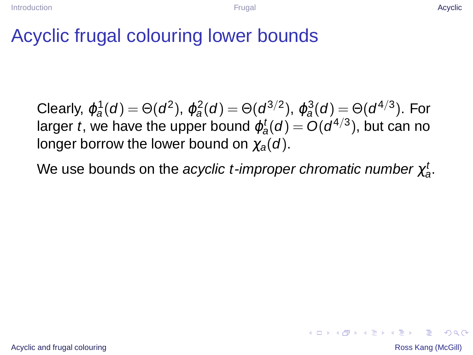## Acyclic frugal colouring lower bounds

Clearly,  $\varphi_a^1(d) = \Theta(d^2)$ ,  $\varphi_a^2(d) = \Theta(d^{3/2})$ ,  $\varphi_a^3(d) = \Theta(d^{4/3})$ . For larger  $t$ , we have the upper bound  $\varphi^t_a(d) = O(d^{4/3})$ , but can no longer borrow the lower bound on  $\chi_{\alpha}(d)$ .

We use bounds on the *acyclic t-improper chromatic number*  $\chi_{\rm a}^t$ *.* 

 $2Q$ 

**K ロ ト K 何 ト K ヨ ト K ヨ ト**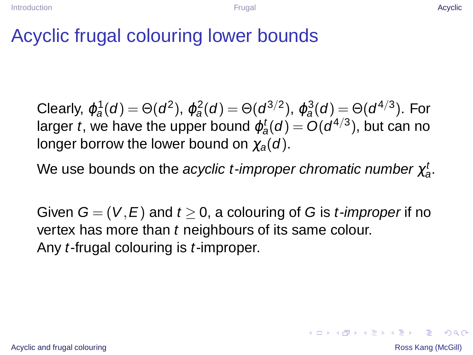## Acyclic frugal colouring lower bounds

Clearly,  $\varphi_a^1(d) = \Theta(d^2)$ ,  $\varphi_a^2(d) = \Theta(d^{3/2})$ ,  $\varphi_a^3(d) = \Theta(d^{4/3})$ . For larger  $t$ , we have the upper bound  $\varphi^t_a(d) = O(d^{4/3})$ , but can no longer borrow the lower bound on  $\chi_{\alpha}(d)$ .

We use bounds on the *acyclic t-improper chromatic number*  $\chi_{\rm a}^t$ *.* 

Given  $G = (V, E)$  and  $t > 0$ , a colouring of G is *t-improper* if no vertex has more than  $t$  neighbours of its same colour. Any *t*-frugal colouring is *t*-improper.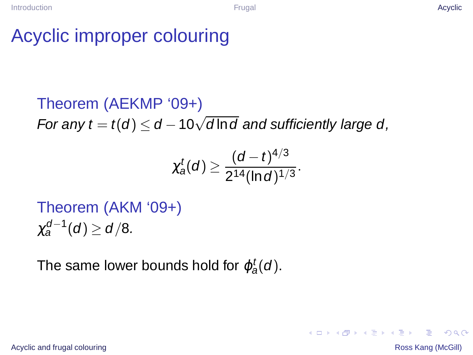# Acyclic improper colouring

Theorem (AEKMP '09+) For any  $t = t(d) \leq d - 10\sqrt{d\ln d}$  and sufficiently large d,

$$
\chi_a^t(d) \geq \frac{(d-t)^{4/3}}{2^{14}(\ln d)^{1/3}}.
$$

Theorem (AKM '09+)  $\chi_a^{d-1}(d) \geq d/8.$ 

The same lower bounds hold for  $\varphi_a^t(d).$ 

[Acyclic and frugal colouring](#page-0-0) **Ross Kang (McGill)** Acyclic and frugal colouring Ross Kang (McGill)

G.

 $\Omega$ 

メロトメ部 トメミトメミト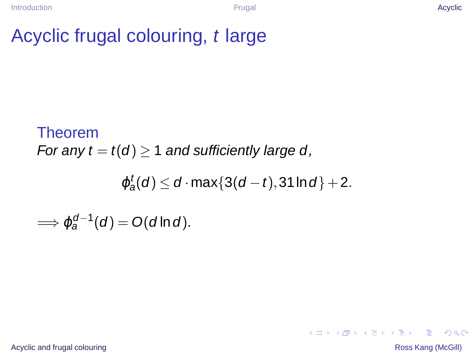## Acyclic frugal colouring, t large

Theorem For any  $t = t(d) > 1$  and sufficiently large d,

 $\varphi^t_a(d) \leq d \cdot \max\{3(d-t),31\ln d\}+2.$ 

 $\implies \varphi_a^{d-1}(d) = O(d \ln d).$ 

[Acyclic and frugal colouring](#page-0-0) **Ross Kang (McGill)** Acyclic and frugal colouring Ross Kang (McGill)

**KOD KAD KED KED E VOOR**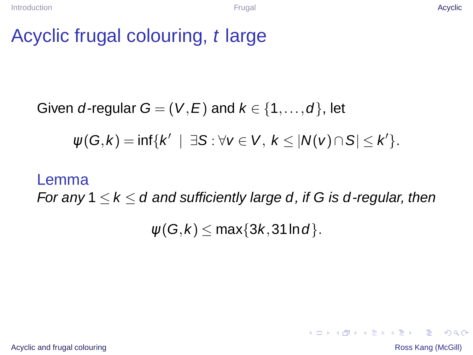#### Acyclic frugal colouring, t large

Given d-regular  $G = (V, E)$  and  $k \in \{1, ..., d\}$ , let

 $\psi(G,k) = \inf \{ k' \mid \exists S : \forall v \in V, k \leq |N(v) \cap S| \leq k' \}.$ 

#### Lemma

For any  $1 \leq k \leq d$  and sufficiently large d, if G is d-regular, then

 $\psi(G,k) \leq \max\{3k,31\ln d\}.$ 

[Acyclic and frugal colouring](#page-0-0) **Ross Kang (McGill)** Acyclic and frugal colouring Ross Kang (McGill)

**KOD KAD KED KED E VOOR**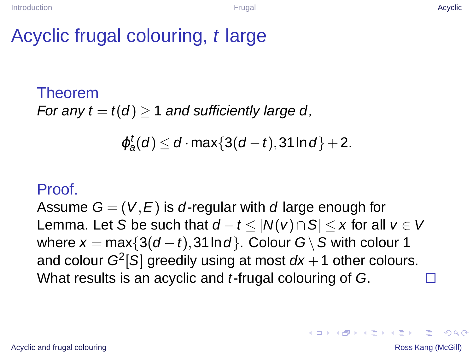## Acyclic frugal colouring, t large

#### Theorem For any  $t = t(d) \ge 1$  and sufficiently large d,

$$
\varphi_a^t(d) \leq d \cdot \max\{3(d-t), 31 \ln d\}+2.
$$

#### Proof.

Assume  $G = (V, E)$  is d-regular with d large enough for Lemma. Let S be such that  $d-t < |N(v) \cap S| < x$  for all  $v \in V$ where  $x = max\{3(d - t), 31 \ln d\}$ . Colour G \ S with colour 1 and colour  $G^2[S]$  greedily using at most  $d\mathsf{x}+1$  other colours. What results is an acyclic and t-frugal colouring of G. П

 $2Q$ 

イロト (何) (日) (日) 三重